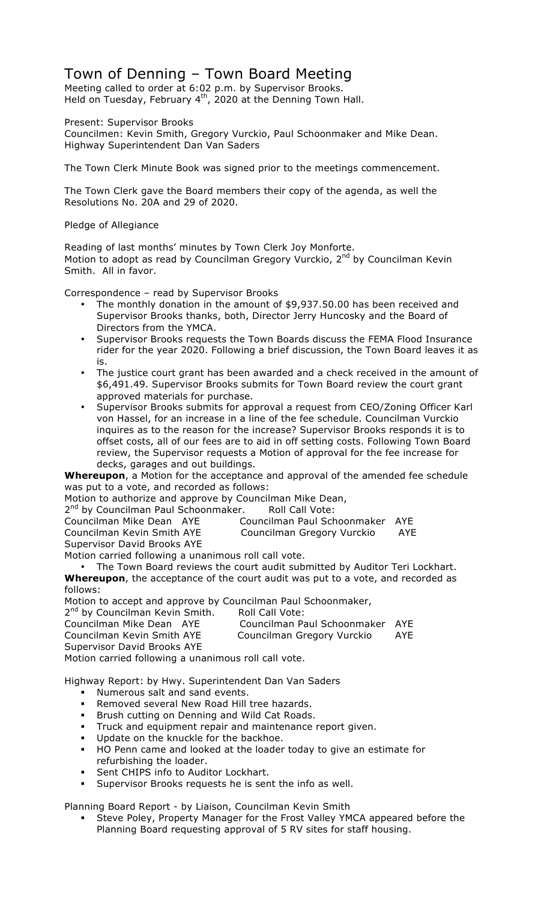# Town of Denning – Town Board Meeting

Meeting called to order at 6:02 p.m. by Supervisor Brooks. Held on Tuesday, February  $4<sup>th</sup>$ , 2020 at the Denning Town Hall.

Present: Supervisor Brooks

Councilmen: Kevin Smith, Gregory Vurckio, Paul Schoonmaker and Mike Dean. Highway Superintendent Dan Van Saders

The Town Clerk Minute Book was signed prior to the meetings commencement.

The Town Clerk gave the Board members their copy of the agenda, as well the Resolutions No. 20A and 29 of 2020.

Pledge of Allegiance

Reading of last months' minutes by Town Clerk Joy Monforte. Motion to adopt as read by Councilman Gregory Vurckio,  $2<sup>nd</sup>$  by Councilman Kevin Smith. All in favor.

Correspondence – read by Supervisor Brooks

- The monthly donation in the amount of \$9,937.50.00 has been received and Supervisor Brooks thanks, both, Director Jerry Huncosky and the Board of Directors from the YMCA.
- Supervisor Brooks requests the Town Boards discuss the FEMA Flood Insurance rider for the year 2020. Following a brief discussion, the Town Board leaves it as is.
- The justice court grant has been awarded and a check received in the amount of \$6,491.49. Supervisor Brooks submits for Town Board review the court grant approved materials for purchase.
- Supervisor Brooks submits for approval a request from CEO/Zoning Officer Karl von Hassel, for an increase in a line of the fee schedule. Councilman Vurckio inquires as to the reason for the increase? Supervisor Brooks responds it is to offset costs, all of our fees are to aid in off setting costs. Following Town Board review, the Supervisor requests a Motion of approval for the fee increase for decks, garages and out buildings.

**Whereupon**, a Motion for the acceptance and approval of the amended fee schedule was put to a vote, and recorded as follows:

Motion to authorize and approve by Councilman Mike Dean,

2<sup>nd</sup> by Councilman Paul Schoonmaker. Roll Call Vote:

| Councilman Mike Dean AYE    | Councilman Paul Schoonmaker AYE |     |
|-----------------------------|---------------------------------|-----|
| Councilman Kevin Smith AYE  | Councilman Gregory Vurckio      | AYE |
| Supervisor David Brooks AYE |                                 |     |

Motion carried following a unanimous roll call vote.

• The Town Board reviews the court audit submitted by Auditor Teri Lockhart. **Whereupon**, the acceptance of the court audit was put to a vote, and recorded as follows:

Motion to accept and approve by Councilman Paul Schoonmaker,

2<sup>nd</sup> by Councilman Kevin Smith. Roll Call Vote:

| Councilman Mike Dean AYE                             | Councilman Paul Schoonmaker AYE |     |
|------------------------------------------------------|---------------------------------|-----|
| Councilman Kevin Smith AYE                           | Councilman Gregory Vurckio      | AYE |
| Supervisor David Brooks AYE                          |                                 |     |
| Motion carried following a unanimous roll call vote. |                                 |     |

Highway Report: by Hwy. Superintendent Dan Van Saders

- ! Numerous salt and sand events.
- Removed several New Road Hill tree hazards.
- Brush cutting on Denning and Wild Cat Roads.
- ! Truck and equipment repair and maintenance report given.
- ! Update on the knuckle for the backhoe.
- ! HO Penn came and looked at the loader today to give an estimate for refurbishing the loader.
- ! Sent CHIPS info to Auditor Lockhart.
- ! Supervisor Brooks requests he is sent the info as well.

Planning Board Report - by Liaison, Councilman Kevin Smith

! Steve Poley, Property Manager for the Frost Valley YMCA appeared before the Planning Board requesting approval of 5 RV sites for staff housing.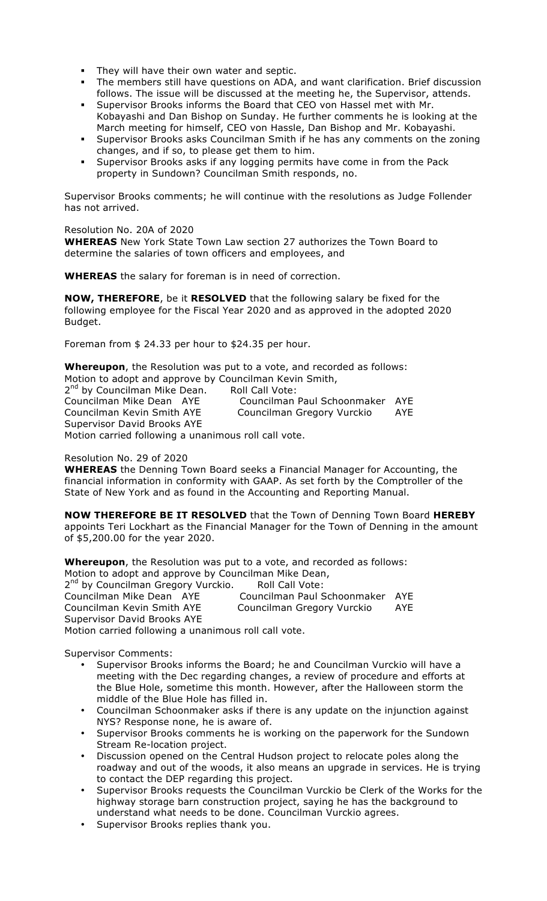- They will have their own water and septic.
- ! The members still have questions on ADA, and want clarification. Brief discussion follows. The issue will be discussed at the meeting he, the Supervisor, attends.
- ! Supervisor Brooks informs the Board that CEO von Hassel met with Mr. Kobayashi and Dan Bishop on Sunday. He further comments he is looking at the March meeting for himself, CEO von Hassle, Dan Bishop and Mr. Kobayashi.
- Supervisor Brooks asks Councilman Smith if he has any comments on the zoning changes, and if so, to please get them to him.
- ! Supervisor Brooks asks if any logging permits have come in from the Pack property in Sundown? Councilman Smith responds, no.

Supervisor Brooks comments; he will continue with the resolutions as Judge Follender has not arrived.

#### Resolution No. 20A of 2020

**WHEREAS** New York State Town Law section 27 authorizes the Town Board to determine the salaries of town officers and employees, and

**WHEREAS** the salary for foreman is in need of correction.

**NOW, THEREFORE**, be it **RESOLVED** that the following salary be fixed for the following employee for the Fiscal Year 2020 and as approved in the adopted 2020 Budget.

Foreman from \$ 24.33 per hour to \$24.35 per hour.

**Whereupon**, the Resolution was put to a vote, and recorded as follows: Motion to adopt and approve by Councilman Kevin Smith,

2<sup>nd</sup> by Councilman Mike Dean. Roll Call Vote: Councilman Mike Dean AYE Councilman Paul Schoonmaker AYE Councilman Kevin Smith AYE Councilman Gregory Vurckio AYE Supervisor David Brooks AYE

Motion carried following a unanimous roll call vote.

### Resolution No. 29 of 2020

**WHEREAS** the Denning Town Board seeks a Financial Manager for Accounting, the financial information in conformity with GAAP. As set forth by the Comptroller of the State of New York and as found in the Accounting and Reporting Manual.

**NOW THEREFORE BE IT RESOLVED** that the Town of Denning Town Board **HEREBY** appoints Teri Lockhart as the Financial Manager for the Town of Denning in the amount of \$5,200.00 for the year 2020.

**Whereupon**, the Resolution was put to a vote, and recorded as follows: Motion to adopt and approve by Councilman Mike Dean, 2<sup>nd</sup> by Councilman Gregory Vurckio. Roll Call Vote: Councilman Mike Dean AYE Councilman Paul Schoonmaker AYE Councilman Kevin Smith AYE Councilman Gregory Vurckio AYE Supervisor David Brooks AYE Motion carried following a unanimous roll call vote.

Supervisor Comments:

- Supervisor Brooks informs the Board; he and Councilman Vurckio will have a meeting with the Dec regarding changes, a review of procedure and efforts at the Blue Hole, sometime this month. However, after the Halloween storm the middle of the Blue Hole has filled in.
- Councilman Schoonmaker asks if there is any update on the injunction against NYS? Response none, he is aware of.
- Supervisor Brooks comments he is working on the paperwork for the Sundown Stream Re-location project.
- Discussion opened on the Central Hudson project to relocate poles along the roadway and out of the woods, it also means an upgrade in services. He is trying to contact the DEP regarding this project.
- Supervisor Brooks requests the Councilman Vurckio be Clerk of the Works for the highway storage barn construction project, saying he has the background to understand what needs to be done. Councilman Vurckio agrees.
- Supervisor Brooks replies thank you.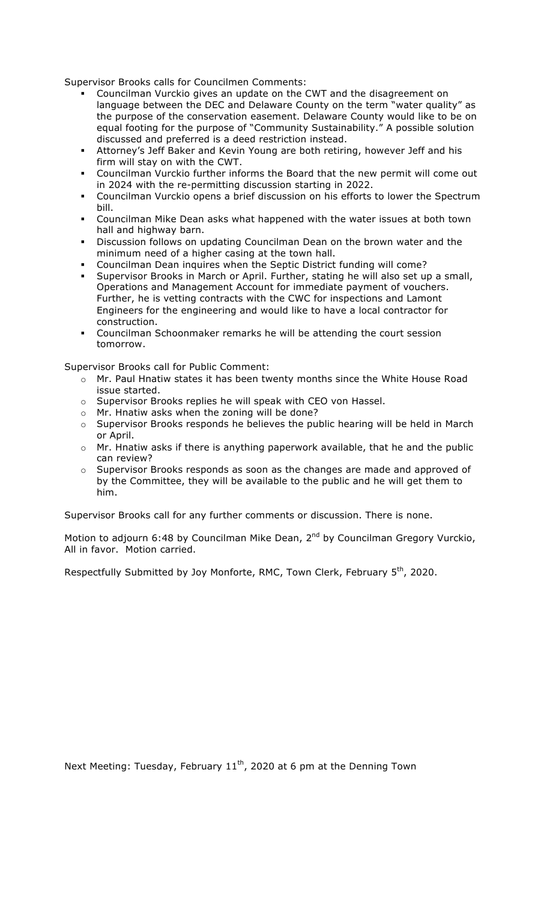Supervisor Brooks calls for Councilmen Comments:

- ! Councilman Vurckio gives an update on the CWT and the disagreement on language between the DEC and Delaware County on the term "water quality" as the purpose of the conservation easement. Delaware County would like to be on equal footing for the purpose of "Community Sustainability." A possible solution discussed and preferred is a deed restriction instead.
- ! Attorney's Jeff Baker and Kevin Young are both retiring, however Jeff and his firm will stay on with the CWT.
- ! Councilman Vurckio further informs the Board that the new permit will come out in 2024 with the re-permitting discussion starting in 2022.
- ! Councilman Vurckio opens a brief discussion on his efforts to lower the Spectrum bill.
- ! Councilman Mike Dean asks what happened with the water issues at both town hall and highway barn.
- ! Discussion follows on updating Councilman Dean on the brown water and the minimum need of a higher casing at the town hall.
- ! Councilman Dean inquires when the Septic District funding will come?
- ! Supervisor Brooks in March or April. Further, stating he will also set up a small, Operations and Management Account for immediate payment of vouchers. Further, he is vetting contracts with the CWC for inspections and Lamont Engineers for the engineering and would like to have a local contractor for construction.
- ! Councilman Schoonmaker remarks he will be attending the court session tomorrow.

Supervisor Brooks call for Public Comment:

- o Mr. Paul Hnatiw states it has been twenty months since the White House Road issue started.
- o Supervisor Brooks replies he will speak with CEO von Hassel.
- o Mr. Hnatiw asks when the zoning will be done?
- o Supervisor Brooks responds he believes the public hearing will be held in March or April.
- o Mr. Hnatiw asks if there is anything paperwork available, that he and the public can review?
- o Supervisor Brooks responds as soon as the changes are made and approved of by the Committee, they will be available to the public and he will get them to him.

Supervisor Brooks call for any further comments or discussion. There is none.

Motion to adjourn 6:48 by Councilman Mike Dean, 2<sup>nd</sup> by Councilman Gregory Vurckio, All in favor. Motion carried.

Respectfully Submitted by Joy Monforte, RMC, Town Clerk, February 5<sup>th</sup>, 2020.

Next Meeting: Tuesday, February  $11<sup>th</sup>$ , 2020 at 6 pm at the Denning Town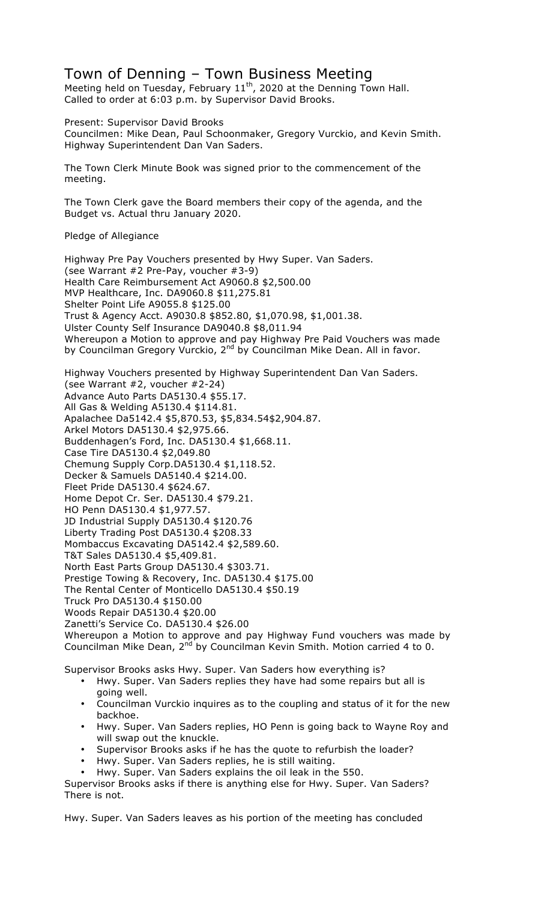## Town of Denning – Town Business Meeting

Meeting held on Tuesday, February  $11<sup>th</sup>$ , 2020 at the Denning Town Hall. Called to order at 6:03 p.m. by Supervisor David Brooks.

Present: Supervisor David Brooks Councilmen: Mike Dean, Paul Schoonmaker, Gregory Vurckio, and Kevin Smith. Highway Superintendent Dan Van Saders.

The Town Clerk Minute Book was signed prior to the commencement of the meeting.

The Town Clerk gave the Board members their copy of the agenda, and the Budget vs. Actual thru January 2020.

### Pledge of Allegiance

Highway Pre Pay Vouchers presented by Hwy Super. Van Saders. (see Warrant #2 Pre-Pay, voucher #3-9) Health Care Reimbursement Act A9060.8 \$2,500.00 MVP Healthcare, Inc. DA9060.8 \$11,275.81 Shelter Point Life A9055.8 \$125.00 Trust & Agency Acct. A9030.8 \$852.80, \$1,070.98, \$1,001.38. Ulster County Self Insurance DA9040.8 \$8,011.94 Whereupon a Motion to approve and pay Highway Pre Paid Vouchers was made by Councilman Gregory Vurckio, 2<sup>nd</sup> by Councilman Mike Dean. All in favor.

Highway Vouchers presented by Highway Superintendent Dan Van Saders. (see Warrant #2, voucher #2-24) Advance Auto Parts DA5130.4 \$55.17. All Gas & Welding A5130.4 \$114.81. Apalachee Da5142.4 \$5,870.53, \$5,834.54\$2,904.87. Arkel Motors DA5130.4 \$2,975.66. Buddenhagen's Ford, Inc. DA5130.4 \$1,668.11. Case Tire DA5130.4 \$2,049.80 Chemung Supply Corp.DA5130.4 \$1,118.52. Decker & Samuels DA5140.4 \$214.00. Fleet Pride DA5130.4 \$624.67. Home Depot Cr. Ser. DA5130.4 \$79.21. HO Penn DA5130.4 \$1,977.57. JD Industrial Supply DA5130.4 \$120.76 Liberty Trading Post DA5130.4 \$208.33 Mombaccus Excavating DA5142.4 \$2,589.60. T&T Sales DA5130.4 \$5,409.81. North East Parts Group DA5130.4 \$303.71. Prestige Towing & Recovery, Inc. DA5130.4 \$175.00 The Rental Center of Monticello DA5130.4 \$50.19 Truck Pro DA5130.4 \$150.00 Woods Repair DA5130.4 \$20.00 Zanetti's Service Co. DA5130.4 \$26.00 Whereupon a Motion to approve and pay Highway Fund vouchers was made by Councilman Mike Dean, 2<sup>nd</sup> by Councilman Kevin Smith. Motion carried 4 to 0.

- Supervisor Brooks asks Hwy. Super. Van Saders how everything is? • Hwy. Super. Van Saders replies they have had some repairs but all is
	- going well. • Councilman Vurckio inquires as to the coupling and status of it for the new backhoe.
	- Hwy. Super. Van Saders replies, HO Penn is going back to Wayne Roy and will swap out the knuckle.
	- Supervisor Brooks asks if he has the quote to refurbish the loader?
	- Hwy. Super. Van Saders replies, he is still waiting.
	- Hwy. Super. Van Saders explains the oil leak in the 550.

Supervisor Brooks asks if there is anything else for Hwy. Super. Van Saders? There is not.

Hwy. Super. Van Saders leaves as his portion of the meeting has concluded